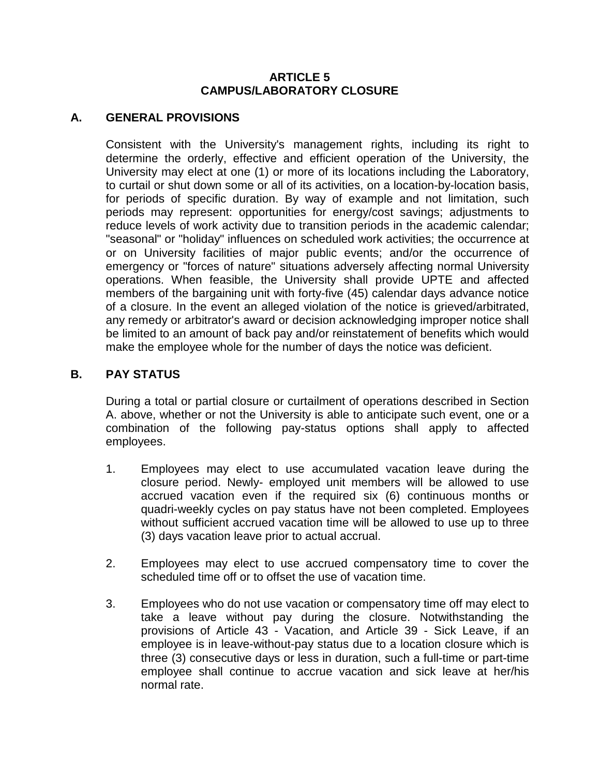## **ARTICLE 5 CAMPUS/LABORATORY CLOSURE**

## **A. GENERAL PROVISIONS**

Consistent with the University's management rights, including its right to determine the orderly, effective and efficient operation of the University, the University may elect at one (1) or more of its locations including the Laboratory, to curtail or shut down some or all of its activities, on a location-by-location basis, for periods of specific duration. By way of example and not limitation, such periods may represent: opportunities for energy/cost savings; adjustments to reduce levels of work activity due to transition periods in the academic calendar; "seasonal" or "holiday" influences on scheduled work activities; the occurrence at or on University facilities of major public events; and/or the occurrence of emergency or "forces of nature" situations adversely affecting normal University operations. When feasible, the University shall provide UPTE and affected members of the bargaining unit with forty-five (45) calendar days advance notice of a closure. In the event an alleged violation of the notice is grieved/arbitrated, any remedy or arbitrator's award or decision acknowledging improper notice shall be limited to an amount of back pay and/or reinstatement of benefits which would make the employee whole for the number of days the notice was deficient.

## **B. PAY STATUS**

During a total or partial closure or curtailment of operations described in Section A. above, whether or not the University is able to anticipate such event, one or a combination of the following pay-status options shall apply to affected employees.

- 1. Employees may elect to use accumulated vacation leave during the closure period. Newly- employed unit members will be allowed to use accrued vacation even if the required six (6) continuous months or quadri-weekly cycles on pay status have not been completed. Employees without sufficient accrued vacation time will be allowed to use up to three (3) days vacation leave prior to actual accrual.
- 2. Employees may elect to use accrued compensatory time to cover the scheduled time off or to offset the use of vacation time.
- 3. Employees who do not use vacation or compensatory time off may elect to take a leave without pay during the closure. Notwithstanding the provisions of Article 43 - Vacation, and Article 39 - Sick Leave, if an employee is in leave-without-pay status due to a location closure which is three (3) consecutive days or less in duration, such a full-time or part-time employee shall continue to accrue vacation and sick leave at her/his normal rate.